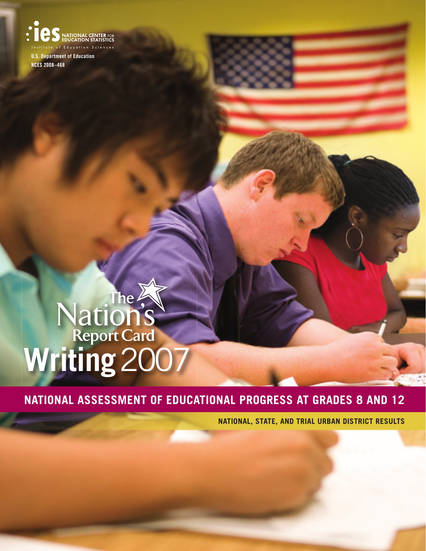of Education Sciences U.S. Department of Education NCES 2008–468

# **Nation's**<br>Report Card<br>**Writing 2007**

# **NATIONAL ASSESSMENT OF EDUCATIONAL PROGRESS AT GRADES 8 AND 12**

**NATIONAL, STATE, AND TRIAL URBAN DISTRICT RESULTS**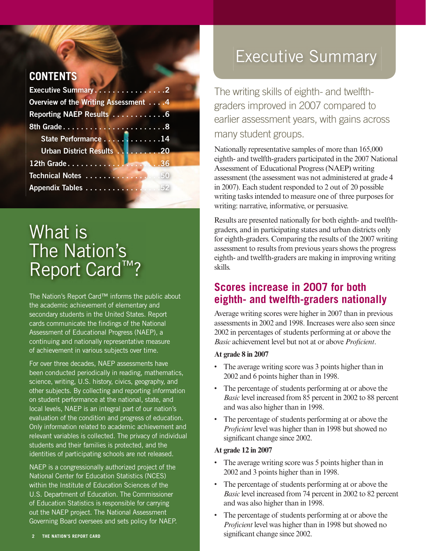#### **CONTENTS**

| Executive Summary2                          |  |
|---------------------------------------------|--|
| <b>Overview of the Writing Assessment 4</b> |  |
| Reporting NAEP Results 6                    |  |
|                                             |  |
| State Performance 14                        |  |
| Urban District Results 20                   |  |
| 12th Grade36                                |  |
| Technical Notes 50                          |  |
| Appendix Tables 52                          |  |

# What is The Nation's Report Card™?

The Nation's Report Card™ informs the public about the academic achievement of elementary and secondary students in the United States. Report cards communicate the findings of the National Assessment of Educational Progress (NAEP), a continuing and nationally representative measure of achievement in various subjects over time.

For over three decades, NAEP assessments have been conducted periodically in reading, mathematics, science, writing, U.S. history, civics, geography, and other subjects. By collecting and reporting information on student performance at the national, state, and local levels, NAEP is an integral part of our nation's evaluation of the condition and progress of education. Only information related to academic achievement and relevant variables is collected. The privacy of individual students and their families is protected, and the identities of participating schools are not released.

NAEP is a congressionally authorized project of the National Center for Education Statistics (NCES) within the Institute of Education Sciences of the U.S. Department of Education. The Commissioner of Education Statistics is responsible for carrying out the NAEP project. The National Assessment Governing Board oversees and sets policy for NAEP.

# Executive Summary

The writing skills of eighth- and twelfthgraders improved in 2007 compared to earlier assessment years, with gains across many student groups.

Nationally representative samples of more than 165,000 eighth- and twelfth-graders participated in the 2007 National Assessment of Educational Progress (NAEP) writing assessment (the assessment was not administered at grade 4 in 2007). Each student responded to 2 out of 20 possible writing tasks intended to measure one of three purposes for writing: narrative, informative, or persuasive.

Results are presented nationally for both eighth- and twelfthgraders, and in participating states and urban districts only for eighth-graders. Comparing the results of the 2007 writing assessment to results from previous years shows the progress eighth- and twelfth-graders are making in improving writing skills.

## **Scores increase in 2007 for both eighth- and twelfth-graders nationally**

Average writing scores were higher in 2007 than in previous assessments in 2002 and 1998. Increases were also seen since 2002 in percentages of students performing at or above the *Basic* achievement level but not at or above *Proficient*.

#### **At grade 8 in 2007**

- The average writing score was 3 points higher than in 2002 and 6 points higher than in 1998.
- The percentage of students performing at or above the *Basic* level increased from 85 percent in 2002 to 88 percent and was also higher than in 1998.
- The percentage of students performing at or above the *Proficient* level was higher than in 1998 but showed no significant change since 2002.

#### **At grade 12 in 2007**

- The average writing score was 5 points higher than in 2002 and 3 points higher than in 1998.
- The percentage of students performing at or above the *Basic* level increased from 74 percent in 2002 to 82 percent and was also higher than in 1998.
- The percentage of students performing at or above the *Proficient* level was higher than in 1998 but showed no **EXECUTE ATION'S REPORT CARD** SIGNIFICANT STRUCTURE SIGNIFICANT SIGNIFICANT CHANGE SINCE 2002.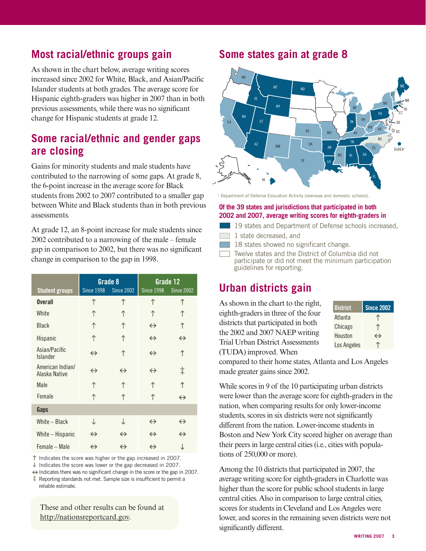## **Most racial/ethnic groups gain**

As shown in the chart below, average writing scores increased since 2002 for White, Black, and Asian/Pacific Islander students at both grades. The average score for Hispanic eighth-graders was higher in 2007 than in both previous assessments, while there was no significant change for Hispanic students at grade 12.

#### **Some racial/ethnic and gender gaps are closing**

Gains for minority students and male students have contributed to the narrowing of some gaps. At grade 8, the 6-point increase in the average score for Black students from 2002 to 2007 contributed to a smaller gap between White and Black students than in both previous assessments.

At grade 12, an 8-point increase for male students since 2002 contributed to a narrowing of the male – female gap in comparison to 2002, but there was no significant change in comparison to the gap in 1998.

| <b>Student groups</b>             | Grade 8<br><b>Since 1998</b><br><b>Since 2002</b> |                   | Grade 12<br><b>Since 1998</b><br><b>Since 2002</b> |                   |
|-----------------------------------|---------------------------------------------------|-------------------|----------------------------------------------------|-------------------|
| <b>Overall</b>                    | ↑                                                 | ↑                 | ↑                                                  |                   |
| White                             | ↑                                                 | ↑                 | ↑                                                  |                   |
| Black                             | ↑                                                 | ↑                 | $\leftrightarrow$                                  |                   |
| Hispanic                          | ↑                                                 | ↑                 | $\leftrightarrow$                                  | $\leftrightarrow$ |
| Asian/Pacific<br>Islander         | $\leftrightarrow$                                 | ↑                 | $\leftrightarrow$                                  | ↑                 |
| American Indian/<br>Alaska Native | $\leftrightarrow$                                 | $\leftrightarrow$ | $\leftrightarrow$                                  | ţ                 |
| Male                              | ↑                                                 | ↑                 | ↑                                                  | ↑                 |
| Female                            | ↑                                                 |                   | ↑                                                  | $\leftrightarrow$ |
| Gaps                              |                                                   |                   |                                                    |                   |
| White - Black                     | ↓                                                 | ↓                 | $\leftrightarrow$                                  | $\leftrightarrow$ |
| White – Hispanic                  | $\leftrightarrow$                                 | $\leftrightarrow$ | $\leftrightarrow$                                  | $\leftrightarrow$ |
| Female - Male                     | $\leftrightarrow$                                 | $\leftrightarrow$ | $\leftrightarrow$                                  | ↓                 |

 $\uparrow$  Indicates the score was higher or the gap increased in 2007.

 $\downarrow$  Indicates the score was lower or the gap decreased in 2007.

 $\leftrightarrow$  Indicates there was no significant change in the score or the gap in 2007.

‡ Reporting standards not met. Sample size is insufficient to permit a reliable estimate.

These and other results can be found at http://nationsreportcard.gov.

#### **Some states gain at grade 8**



<sup>1</sup> Department of Defense Education Activity (overseas and domestic schools).

#### **Of the 39 states and jurisdictions that participated in both 2002 and 2007, average writing scores for eighth-graders in**

- 19 states and Department of Defense schools increased,
- 1 state decreased, and
- 18 states showed no significant change.
- Twelve states and the District of Columbia did not participate or did not meet the minimum participation guidelines for reporting.

## **Urban districts gain**

As shown in the chart to the right, eighth-graders in three of the four districts that participated in both the 2002 and 2007 NAEP writing Trial Urban District Assessments (TUDA) improved. When

| <b>District</b> | <b>Since 2002</b> |
|-----------------|-------------------|
| Atlanta         |                   |
| Chicago         |                   |
| Houston         | $\leftrightarrow$ |
| Los Angeles     |                   |

compared to their home states, Atlanta and Los Angeles made greater gains since 2002.

While scores in 9 of the 10 participating urban districts were lower than the average score for eighth-graders in the nation, when comparing results for only lower-income students, scores in six districts were not significantly different from the nation. Lower-income students in Boston and New York City scored higher on average than their peers in large central cities (i.e., cities with populations of 250,000 or more).

Among the 10 districts that participated in 2007, the average writing score for eighth-graders in Charlotte was higher than the score for public school students in large central cities. Also in comparison to large central cities, scores for students in Cleveland and Los Angeles were lower, and scores in the remaining seven districts were not significantly different.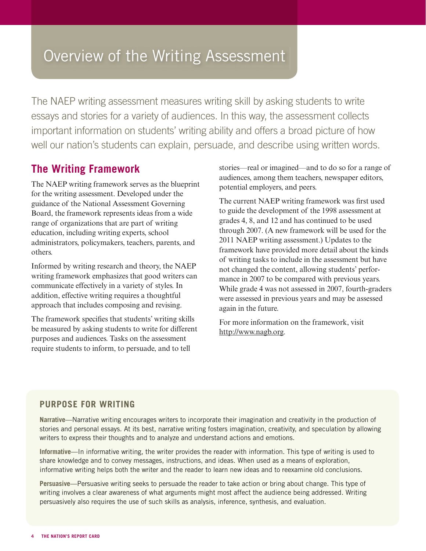# Overview of the Writing Assessment

The NAEP writing assessment measures writing skill by asking students to write essays and stories for a variety of audiences. In this way, the assessment collects important information on students' writing ability and offers a broad picture of how well our nation's students can explain, persuade, and describe using written words.

## **The Writing Framework**

The NAEP writing framework serves as the blueprint for the writing assessment. Developed under the guidance of the National Assessment Governing Board, the framework represents ideas from a wide range of organizations that are part of writing education, including writing experts, school administrators, policymakers, teachers, parents, and others.

Informed by writing research and theory, the NAEP writing framework emphasizes that good writers can communicate effectively in a variety of styles. In addition, effective writing requires a thoughtful approach that includes composing and revising.

The framework specifies that students' writing skills be measured by asking students to write for different purposes and audiences. Tasks on the assessment require students to inform, to persuade, and to tell

stories—real or imagined—and to do so for a range of audiences, among them teachers, newspaper editors, potential employers, and peers.

The current NAEP writing framework was first used to guide the development of the 1998 assessment at grades 4, 8, and 12 and has continued to be used through 2007. (A new framework will be used for the 2011 NAEP writing assessment.) Updates to the framework have provided more detail about the kinds of writing tasks to include in the assessment but have not changed the content, allowing students' performance in 2007 to be compared with previous years. While grade 4 was not assessed in 2007, fourth-graders were assessed in previous years and may be assessed again in the future.

For more information on the framework, visit [http://www.nagb.org.](/transfer.asp?location=www.nagb.org)

#### **PURPOSE FOR WRITING**

**Narrative**—Narrative writing encourages writers to incorporate their imagination and creativity in the production of stories and personal essays. At its best, narrative writing fosters imagination, creativity, and speculation by allowing writers to express their thoughts and to analyze and understand actions and emotions.

**Informative**—In informative writing, the writer provides the reader with information. This type of writing is used to share knowledge and to convey messages, instructions, and ideas. When used as a means of exploration, informative writing helps both the writer and the reader to learn new ideas and to reexamine old conclusions.

**Persuasive**—Persuasive writing seeks to persuade the reader to take action or bring about change. This type of writing involves a clear awareness of what arguments might most affect the audience being addressed. Writing persuasively also requires the use of such skills as analysis, inference, synthesis, and evaluation.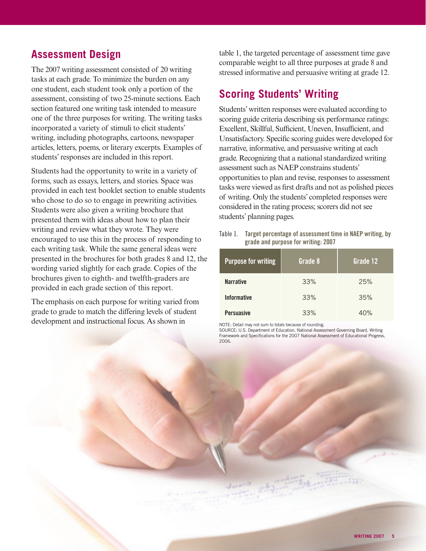## **Assessment Design**

The 2007 writing assessment consisted of 20 writing tasks at each grade. To minimize the burden on any one student, each student took only a portion of the assessment, consisting of two 25-minute sections. Each section featured one writing task intended to measure one of the three purposes for writing. The writing tasks incorporated a variety of stimuli to elicit students' writing, including photographs, cartoons, newspaper articles, letters, poems, or literary excerpts. Examples of students' responses are included in this report.

Students had the opportunity to write in a variety of forms, such as essays, letters, and stories. Space was provided in each test booklet section to enable students who chose to do so to engage in prewriting activities. Students were also given a writing brochure that presented them with ideas about how to plan their writing and review what they wrote. They were encouraged to use this in the process of responding to each writing task. While the same general ideas were presented in the brochures for both grades 8 and 12, the wording varied slightly for each grade. Copies of the brochures given to eighth- and twelfth-graders are provided in each grade section of this report.

The emphasis on each purpose for writing varied from grade to grade to match the differing levels of student development and instructional focus. As shown in

table 1, the targeted percentage of assessment time gave comparable weight to all three purposes at grade 8 and stressed informative and persuasive writing at grade 12.

## **Scoring Students' Writing**

Students' written responses were evaluated according to scoring guide criteria describing six performance ratings: Excellent, Skillful, Sufficient, Uneven, Insufficient, and Unsatisfactory. Specific scoring guides were developed for narrative, informative, and persuasive writing at each grade. Recognizing that a national standardized writing assessment such as NAEP constrains students' opportunities to plan and revise, responses to assessment tasks were viewed as first drafts and not as polished pieces of writing. Only the students' completed responses were considered in the rating process; scorers did not see students' planning pages.

Table 1. Target percentage of assessment time in NAEP writing, by grade and purpose for writing: 2007

| <b>Purpose for writing</b> | Grade 8 | Grade 12 |
|----------------------------|---------|----------|
| <b>Narrative</b>           | 33%     | 25%      |
| <b>Informative</b>         | 33%     | 35%      |
| <b>Persuasive</b>          | 33%     | 40%      |

NOTE: Detail may not sum to totals because of rounding.

SOURCE: U.S. Department of Education, National Assessment Governing Board, Writing Framework and Specifications for the 2007 National Assessment of Educational Progress, 2006.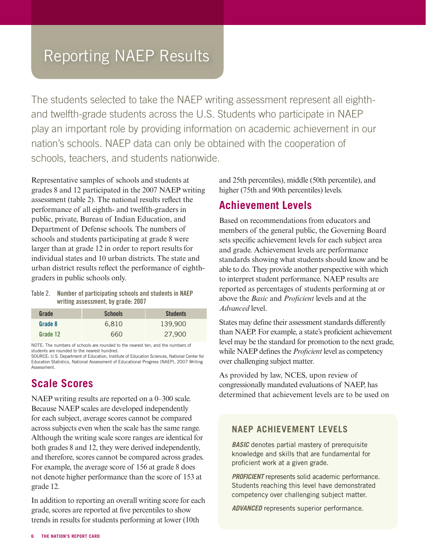# Reporting NAEP Results

The students selected to take the NAEP writing assessment represent all eighthand twelfth-grade students across the U.S. Students who participate in NAEP play an important role by providing information on academic achievement in our nation's schools. NAEP data can only be obtained with the cooperation of schools, teachers, and students nationwide.

Representative samples of schools and students at grades 8 and 12 participated in the 2007 NAEP writing assessment (table 2). The national results reflect the performance of all eighth- and twelfth-graders in public, private, Bureau of Indian Education, and Department of Defense schools. The numbers of schools and students participating at grade 8 were larger than at grade 12 in order to report results for individual states and 10 urban districts. The state and urban district results reflect the performance of eighthgraders in public schools only.

#### Table 2. Number of participating schools and students in NAEP writing assessment, by grade: 2007

| Grade    | <b>Schools</b> | <b>Students</b> |
|----------|----------------|-----------------|
| Grade 8  | 6.810          | 139,900         |
| Grade 12 | 660            | 27,900          |

NOTE: The numbers of schools are rounded to the nearest ten, and the numbers of students are rounded to the nearest hundred.

SOURCE: U.S. Department of Education, Institute of Education Sciences, National Center for Education Statistics, National Assessment of Educational Progress (NAEP), 2007 Writing Assessment.

#### **Scale Scores**

NAEP writing results are reported on a 0–300 scale. Because NAEP scales are developed independently for each subject, average scores cannot be compared across subjects even when the scale has the same range. Although the writing scale score ranges are identical for both grades 8 and 12, they were derived independently, and therefore, scores cannot be compared across grades. For example, the average score of 156 at grade 8 does not denote higher performance than the score of 153 at grade 12.

In addition to reporting an overall writing score for each grade, scores are reported at five percentiles to show trends in results for students performing at lower (10th

and 25th percentiles), middle (50th percentile), and higher (75th and 90th percentiles) levels.

#### **Achievement Levels**

Based on recommendations from educators and members of the general public, the Governing Board sets specific achievement levels for each subject area and grade. Achievement levels are performance standards showing what students should know and be able to do. They provide another perspective with which to interpret student performance. NAEP results are reported as percentages of students performing at or above the *Basic* and *Proficient* levels and at the *Advanced* level.

States may define their assessment standards differently than NAEP. For example, a state's proficient achievement level may be the standard for promotion to the next grade, while NAEP defines the *Proficient* level as competency over challenging subject matter.

As provided by law, NCES, upon review of congressionally mandated evaluations of NAEP, has determined that achievement levels are to be used on

#### **NAEP ACHIEVEMENT LEVELS**

**BASIC** denotes partial mastery of prerequisite knowledge and skills that are fundamental for proficient work at a given grade.

**PROFICIENT** represents solid academic performance. Students reaching this level have demonstrated competency over challenging subject matter.

**ADVANCED** represents superior performance.